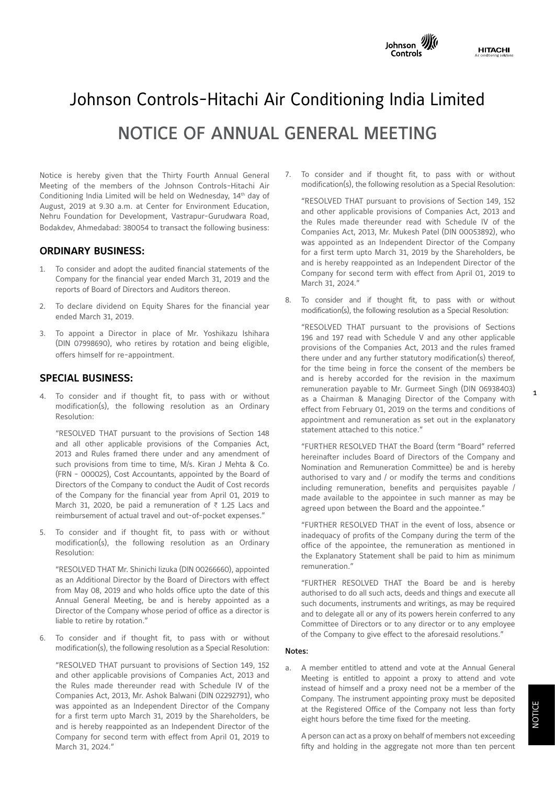

# Johnson Controls-Hitachi Air Conditioning India Limited NOTICE OF ANNUAL GENERAL MEETING

Notice is hereby given that the Thirty Fourth Annual General Meeting of the members of the Johnson Controls-Hitachi Air Conditioning India Limited will be held on Wednesday, 14th day of August, 2019 at 9.30 a.m. at Center for Environment Education, Nehru Foundation for Development, Vastrapur-Gurudwara Road, Bodakdev, Ahmedabad: 380054 to transact the following business:

# **ORDINARY BUSINESS:**

- 1. To consider and adopt the audited financial statements of the Company for the financial year ended March 31, 2019 and the reports of Board of Directors and Auditors thereon.
- To declare dividend on Equity Shares for the financial year ended March 31, 2019.
- 3. To appoint a Director in place of Mr. Yoshikazu Ishihara (DIN 07998690), who retires by rotation and being eligible, offers himself for re-appointment.

# **SPECIAL BUSINESS:**

4. To consider and if thought fit, to pass with or without modification(s), the following resolution as an Ordinary Resolution:

"RESOLVED THAT pursuant to the provisions of Section 148 and all other applicable provisions of the Companies Act, 2013 and Rules framed there under and any amendment of such provisions from time to time, M/s. Kiran J Mehta & Co. (FRN - 000025), Cost Accountants, appointed by the Board of Directors of the Company to conduct the Audit of Cost records of the Company for the financial year from April 01, 2019 to March 31, 2020, be paid a remuneration of  $\bar{\tau}$  1.25 Lacs and reimbursement of actual travel and out-of-pocket expenses."

5. To consider and if thought fit, to pass with or without modification(s), the following resolution as an Ordinary Resolution:

"RESOLVED THAT Mr. Shinichi Iizuka (DIN 00266660), appointed as an Additional Director by the Board of Directors with effect from May 08, 2019 and who holds office upto the date of this Annual General Meeting, be and is hereby appointed as a Director of the Company whose period of office as a director is liable to retire by rotation."

6. To consider and if thought fit, to pass with or without modification(s), the following resolution as a Special Resolution:

"RESOLVED THAT pursuant to provisions of Section 149, 152 and other applicable provisions of Companies Act, 2013 and the Rules made thereunder read with Schedule IV of the Companies Act, 2013, Mr. Ashok Balwani (DIN 02292791), who was appointed as an Independent Director of the Company for a first term upto March 31, 2019 by the Shareholders, be and is hereby reappointed as an Independent Director of the Company for second term with effect from April 01, 2019 to March 31, 2024."

7. To consider and if thought fit, to pass with or without modification(s), the following resolution as a Special Resolution:

"RESOLVED THAT pursuant to provisions of Section 149, 152 and other applicable provisions of Companies Act, 2013 and the Rules made thereunder read with Schedule IV of the Companies Act, 2013, Mr. Mukesh Patel (DIN 00053892), who was appointed as an Independent Director of the Company for a first term upto March 31, 2019 by the Shareholders, be and is hereby reappointed as an Independent Director of the Company for second term with effect from April 01, 2019 to March 31, 2024."

8. To consider and if thought fit, to pass with or without modification(s), the following resolution as a Special Resolution:

"RESOLVED THAT pursuant to the provisions of Sections 196 and 197 read with Schedule V and any other applicable provisions of the Companies Act, 2013 and the rules framed there under and any further statutory modification(s) thereof, for the time being in force the consent of the members be and is hereby accorded for the revision in the maximum remuneration payable to Mr. Gurmeet Singh (DIN 06938403) as a Chairman & Managing Director of the Company with effect from February 01, 2019 on the terms and conditions of appointment and remuneration as set out in the explanatory statement attached to this notice."

"FURTHER RESOLVED THAT the Board (term "Board" referred hereinafter includes Board of Directors of the Company and Nomination and Remuneration Committee) be and is hereby authorised to vary and / or modify the terms and conditions including remuneration, benefits and perquisites payable / made available to the appointee in such manner as may be agreed upon between the Board and the appointee."

"FURTHER RESOLVED THAT in the event of loss, absence or inadequacy of profits of the Company during the term of the office of the appointee, the remuneration as mentioned in the Explanatory Statement shall be paid to him as minimum remuneration."

"FURTHER RESOLVED THAT the Board be and is hereby authorised to do all such acts, deeds and things and execute all such documents, instruments and writings, as may be required and to delegate all or any of its powers herein conferred to any Committee of Directors or to any director or to any employee of the Company to give effect to the aforesaid resolutions."

#### Notes:

a. A member entitled to attend and vote at the Annual General Meeting is entitled to appoint a proxy to attend and vote instead of himself and a proxy need not be a member of the Company. The instrument appointing proxy must be deposited at the Registered Office of the Company not less than forty eight hours before the time fixed for the meeting.

A person can act as a proxy on behalf of members not exceeding fifty and holding in the aggregate not more than ten percent 1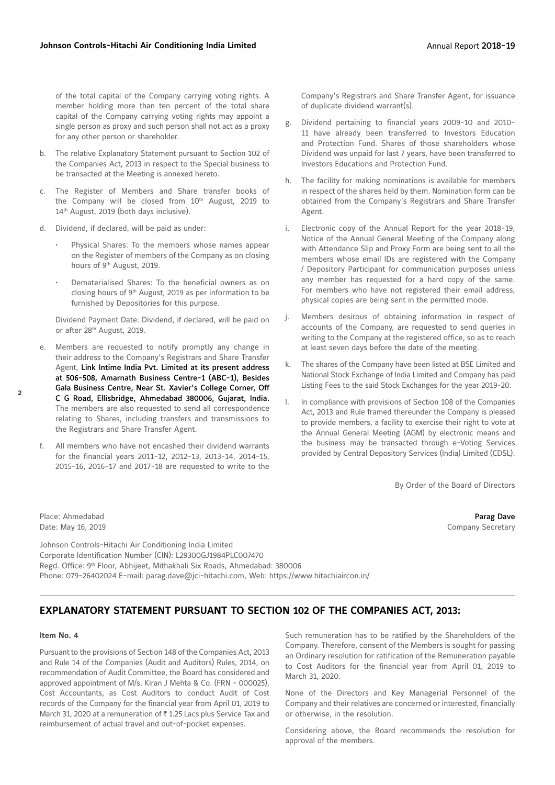of the total capital of the Company carrying voting rights. A member holding more than ten percent of the total share capital of the Company carrying voting rights may appoint a single person as proxy and such person shall not act as a proxy for any other person or shareholder.

- b. The relative Explanatory Statement pursuant to Section 102 of the Companies Act, 2013 in respect to the Special business to be transacted at the Meeting is annexed hereto.
- The Register of Members and Share transfer books of the Company will be closed from 10<sup>th</sup> August, 2019 to 14<sup>th</sup> August, 2019 (both days inclusive).
- d. Dividend, if declared, will be paid as under:
	- Physical Shares: To the members whose names appear on the Register of members of the Company as on closing hours of 9<sup>th</sup> August, 2019.
	- Dematerialised Shares: To the beneficial owners as on closing hours of 9th August, 2019 as per information to be furnished by Depositories for this purpose.

Dividend Payment Date: Dividend, if declared, will be paid on or after 28<sup>th</sup> August, 2019.

- e. Members are requested to notify promptly any change in their address to the Company's Registrars and Share Transfer Agent, Link Intime India Pvt. Limited at its present address at 506-508, Amarnath Business Centre-1 (ABC-1), Besides Gala Business Centre, Near St. Xavier's College Corner, Off C G Road, Ellisbridge, Ahmedabad 380006, Gujarat, India. The members are also requested to send all correspondence relating to Shares, including transfers and transmissions to the Registrars and Share Transfer Agent.
- f. All members who have not encashed their dividend warrants for the financial years 2011-12, 2012-13, 2013-14, 2014-15, 2015-16, 2016-17 and 2017-18 are requested to write to the

Company's Registrars and Share Transfer Agent, for issuance of duplicate dividend warrant(s).

- g. Dividend pertaining to financial years 2009-10 and 2010- 11 have already been transferred to Investors Education and Protection Fund. Shares of those shareholders whose Dividend was unpaid for last 7 years, have been transferred to Investors Educations and Protection Fund.
- h. The facility for making nominations is available for members in respect of the shares held by them. Nomination form can be obtained from the Company's Registrars and Share Transfer Agent.
- i. Electronic copy of the Annual Report for the year 2018-19, Notice of the Annual General Meeting of the Company along with Attendance Slip and Proxy Form are being sent to all the members whose email IDs are registered with the Company / Depository Participant for communication purposes unless any member has requested for a hard copy of the same. For members who have not registered their email address, physical copies are being sent in the permitted mode.
- j. Members desirous of obtaining information in respect of accounts of the Company, are requested to send queries in writing to the Company at the registered office, so as to reach at least seven days before the date of the meeting.
- k. The shares of the Company have been listed at BSE Limited and National Stock Exchange of India Limited and Company has paid Listing Fees to the said Stock Exchanges for the year 2019-20.
- l. In compliance with provisions of Section 108 of the Companies Act, 2013 and Rule framed thereunder the Company is pleased to provide members, a facility to exercise their right to vote at the Annual General Meeting (AGM) by electronic means and the business may be transacted through e-Voting Services provided by Central Depository Services (India) Limited (CDSL).

By Order of the Board of Directors

Place: Ahmedabad **Parag Dave Parag Dave Parag Dave Parag Dave Parag Dave Parag Dave Parag Dave** Date: May 16, 2019 **Company Secretary** Company Secretary

Johnson Controls-Hitachi Air Conditioning India Limited Corporate Identification Number (CIN): L29300GJ1984PLC007470 Regd. Office: 9th Floor, Abhijeet, Mithakhali Six Roads, Ahmedabad: 380006 Phone: 079-26402024 E-mail: parag.dave@jci-hitachi.com, Web: https://www.hitachiaircon.in/

# **EXPLANATORY STATEMENT PURSUANT TO SECTION 102 OF THE COMPANIES ACT, 2013:**

#### **Item No. 4**

Pursuant to the provisions of Section 148 of the Companies Act, 2013 and Rule 14 of the Companies (Audit and Auditors) Rules, 2014, on recommendation of Audit Committee, the Board has considered and approved appointment of M/s. Kiran J Mehta & Co. (FRN - 000025), Cost Accountants, as Cost Auditors to conduct Audit of Cost records of the Company for the financial year from April 01, 2019 to March 31, 2020 at a remuneration of  $\bar{\tau}$  1.25 Lacs plus Service Tax and reimbursement of actual travel and out-of-pocket expenses.

Such remuneration has to be ratified by the Shareholders of the Company. Therefore, consent of the Members is sought for passing an Ordinary resolution for ratification of the Remuneration payable to Cost Auditors for the financial year from April 01, 2019 to March 31, 2020.

None of the Directors and Key Managerial Personnel of the Company and their relatives are concerned or interested, financially or otherwise, in the resolution.

Considering above, the Board recommends the resolution for approval of the members.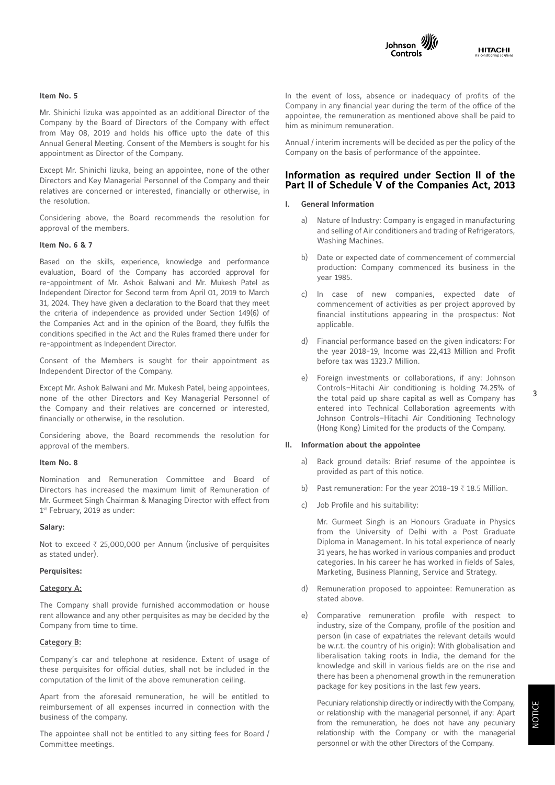



### **Item No. 5**

Mr. Shinichi Iizuka was appointed as an additional Director of the Company by the Board of Directors of the Company with effect from May 08, 2019 and holds his office upto the date of this Annual General Meeting. Consent of the Members is sought for his appointment as Director of the Company.

Except Mr. Shinichi Iizuka, being an appointee, none of the other Directors and Key Managerial Personnel of the Company and their relatives are concerned or interested, financially or otherwise, in the resolution.

Considering above, the Board recommends the resolution for approval of the members.

#### **Item No. 6 & 7**

Based on the skills, experience, knowledge and performance evaluation, Board of the Company has accorded approval for re-appointment of Mr. Ashok Balwani and Mr. Mukesh Patel as Independent Director for Second term from April 01, 2019 to March 31, 2024. They have given a declaration to the Board that they meet the criteria of independence as provided under Section 149(6) of the Companies Act and in the opinion of the Board, they fulfils the conditions specified in the Act and the Rules framed there under for re-appointment as Independent Director.

Consent of the Members is sought for their appointment as Independent Director of the Company.

Except Mr. Ashok Balwani and Mr. Mukesh Patel, being appointees, none of the other Directors and Key Managerial Personnel of the Company and their relatives are concerned or interested, financially or otherwise, in the resolution.

Considering above, the Board recommends the resolution for approval of the members.

#### **Item No. 8**

Nomination and Remuneration Committee and Board of Directors has increased the maximum limit of Remuneration of Mr. Gurmeet Singh Chairman & Managing Director with effect from 1st February, 2019 as under:

#### **Salary:**

Not to exceed  $\bar{\tau}$  25,000,000 per Annum (inclusive of perquisites as stated under).

#### **Perquisites:**

#### Category A:

The Company shall provide furnished accommodation or house rent allowance and any other perquisites as may be decided by the Company from time to time.

#### Category B:

Company's car and telephone at residence. Extent of usage of these perquisites for official duties, shall not be included in the computation of the limit of the above remuneration ceiling.

Apart from the aforesaid remuneration, he will be entitled to reimbursement of all expenses incurred in connection with the business of the company.

The appointee shall not be entitled to any sitting fees for Board / Committee meetings.

In the event of loss, absence or inadequacy of profits of the Company in any financial year during the term of the office of the appointee, the remuneration as mentioned above shall be paid to him as minimum remuneration.

Annual / interim increments will be decided as per the policy of the Company on the basis of performance of the appointee.

# **Information as required under Section II of the Part II of Schedule V of the Companies Act, 2013**

#### **I. General Information**

- a) Nature of Industry: Company is engaged in manufacturing and selling of Air conditioners and trading of Refrigerators, Washing Machines.
- b) Date or expected date of commencement of commercial production: Company commenced its business in the year 1985.
- c) In case of new companies, expected date of commencement of activities as per project approved by financial institutions appearing in the prospectus: Not applicable.
- d) Financial performance based on the given indicators: For the year 2018-19, Income was 22,413 Million and Profit before tax was 1323.7 Million.
- e) Foreign investments or collaborations, if any: Johnson Controls–Hitachi Air conditioning is holding 74.25% of the total paid up share capital as well as Company has entered into Technical Collaboration agreements with Johnson Controls–Hitachi Air Conditioning Technology (Hong Kong) Limited for the products of the Company.

#### **II. Information about the appointee**

- a) Back ground details: Brief resume of the appointee is provided as part of this notice.
- b) Past remuneration: For the year 2018-19  $\bar{\tau}$  18.5 Million.
- c) Job Profile and his suitability:

 Mr. Gurmeet Singh is an Honours Graduate in Physics from the University of Delhi with a Post Graduate Diploma in Management. In his total experience of nearly 31 years, he has worked in various companies and product categories. In his career he has worked in fields of Sales, Marketing, Business Planning, Service and Strategy.

- d) Remuneration proposed to appointee: Remuneration as stated above.
- e) Comparative remuneration profile with respect to industry, size of the Company, profile of the position and person (in case of expatriates the relevant details would be w.r.t. the country of his origin): With globalisation and liberalisation taking roots in India, the demand for the knowledge and skill in various fields are on the rise and there has been a phenomenal growth in the remuneration package for key positions in the last few years.

 Pecuniary relationship directly or indirectly with the Company, or relationship with the managerial personnel, if any: Apart from the remuneration, he does not have any pecuniary relationship with the Company or with the managerial personnel or with the other Directors of the Company.

3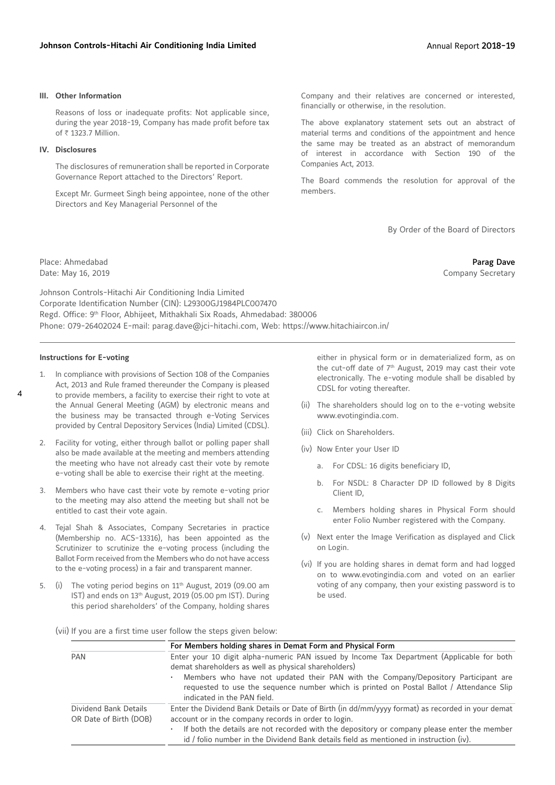#### **III. Other Information**

Reasons of loss or inadequate profits: Not applicable since, during the year 2018-19, Company has made profit before tax of ₹ 1323.7 Million.

#### **IV. Disclosures**

The disclosures of remuneration shall be reported in Corporate Governance Report attached to the Directors' Report.

Except Mr. Gurmeet Singh being appointee, none of the other Directors and Key Managerial Personnel of the

Company and their relatives are concerned or interested, financially or otherwise, in the resolution.

The above explanatory statement sets out an abstract of material terms and conditions of the appointment and hence the same may be treated as an abstract of memorandum of interest in accordance with Section 190 of the Companies Act, 2013.

The Board commends the resolution for approval of the members.

By Order of the Board of Directors

Place: Ahmedabad **Parag Dave** Date: May 16, 2019 **Company Secretary** 

Johnson Controls-Hitachi Air Conditioning India Limited Corporate Identification Number (CIN): L29300GJ1984PLC007470 Regd. Office: 9th Floor, Abhijeet, Mithakhali Six Roads, Ahmedabad: 380006 Phone: 079-26402024 E-mail: parag.dave@jci-hitachi.com, Web: https://www.hitachiaircon.in/

#### **Instructions for E-voting**

- 1. In compliance with provisions of Section 108 of the Companies Act, 2013 and Rule framed thereunder the Company is pleased to provide members, a facility to exercise their right to vote at the Annual General Meeting (AGM) by electronic means and the business may be transacted through e-Voting Services provided by Central Depository Services (India) Limited (CDSL).
- 2. Facility for voting, either through ballot or polling paper shall also be made available at the meeting and members attending the meeting who have not already cast their vote by remote e-voting shall be able to exercise their right at the meeting.
- 3. Members who have cast their vote by remote e-voting prior to the meeting may also attend the meeting but shall not be entitled to cast their vote again.
- 4. Tejal Shah & Associates, Company Secretaries in practice (Membership no. ACS-13316), has been appointed as the Scrutinizer to scrutinize the e-voting process (including the Ballot Form received from the Members who do not have access to the e-voting process) in a fair and transparent manner.
- $(i)$  The voting period begins on 11<sup>th</sup> August, 2019 (09.00 am IST) and ends on 13<sup>th</sup> August, 2019 (05.00 pm IST). During this period shareholders' of the Company, holding shares

either in physical form or in dematerialized form, as on the cut-off date of  $7<sup>th</sup>$  August, 2019 may cast their vote electronically. The e-voting module shall be disabled by CDSL for voting thereafter.

- (ii) The shareholders should log on to the e-voting website www.evotingindia.com.
- (iii) Click on Shareholders.
- (iv) Now Enter your User ID
	- a. For CDSL: 16 digits beneficiary ID,
	- b. For NSDL: 8 Character DP ID followed by 8 Digits Client ID,
	- c. Members holding shares in Physical Form should enter Folio Number registered with the Company.
- (v) Next enter the Image Verification as displayed and Click on Login.
- (vi) If you are holding shares in demat form and had logged on to www.evotingindia.com and voted on an earlier voting of any company, then your existing password is to be used.
- (vii) If you are a first time user follow the steps given below:

|                                                 | For Members holding shares in Demat Form and Physical Form                                                                                                                                                    |
|-------------------------------------------------|---------------------------------------------------------------------------------------------------------------------------------------------------------------------------------------------------------------|
| <b>PAN</b>                                      | Enter your 10 digit alpha-numeric PAN issued by Income Tax Department (Applicable for both<br>demat shareholders as well as physical shareholders)                                                            |
|                                                 | Members who have not updated their PAN with the Company/Depository Participant are<br>requested to use the sequence number which is printed on Postal Ballot / Attendance Slip<br>indicated in the PAN field. |
| Dividend Bank Details<br>OR Date of Birth (DOB) | Enter the Dividend Bank Details or Date of Birth (in dd/mm/yyyy format) as recorded in your demat<br>account or in the company records in order to login.                                                     |
|                                                 | If both the details are not recorded with the depository or company please enter the member<br>id / folio number in the Dividend Bank details field as mentioned in instruction (iv).                         |
|                                                 |                                                                                                                                                                                                               |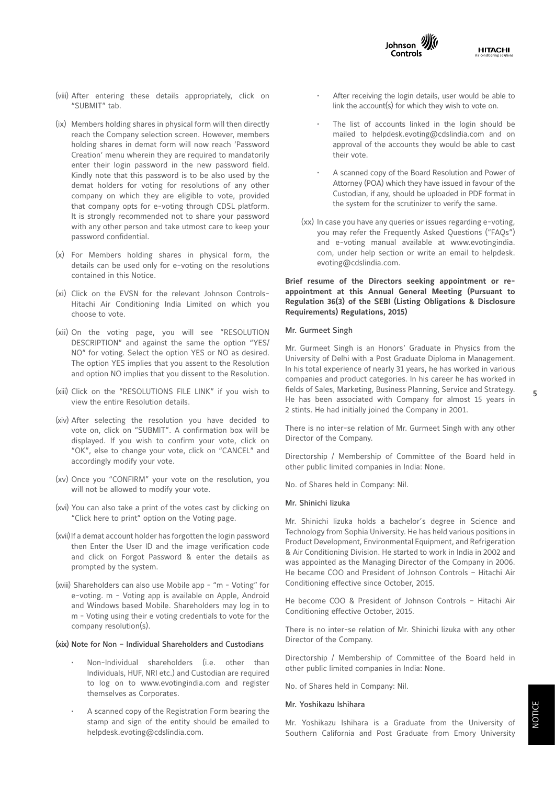



- (viii) After entering these details appropriately, click on "SUBMIT" tab.
- (ix) Members holding shares in physical form will then directly reach the Company selection screen. However, members holding shares in demat form will now reach 'Password Creation' menu wherein they are required to mandatorily enter their login password in the new password field. Kindly note that this password is to be also used by the demat holders for voting for resolutions of any other company on which they are eligible to vote, provided that company opts for e-voting through CDSL platform. It is strongly recommended not to share your password with any other person and take utmost care to keep your password confidential.
- (x) For Members holding shares in physical form, the details can be used only for e-voting on the resolutions contained in this Notice.
- (xi) Click on the EVSN for the relevant Johnson Controls-Hitachi Air Conditioning India Limited on which you choose to vote.
- (xii) On the voting page, you will see "RESOLUTION DESCRIPTION" and against the same the option "YES/ NO" for voting. Select the option YES or NO as desired. The option YES implies that you assent to the Resolution and option NO implies that you dissent to the Resolution.
- (xiii) Click on the "RESOLUTIONS FILE LINK" if you wish to view the entire Resolution details.
- (xiv) After selecting the resolution you have decided to vote on, click on "SUBMIT". A confirmation box will be displayed. If you wish to confirm your vote, click on "OK", else to change your vote, click on "CANCEL" and accordingly modify your vote.
- (xv) Once you "CONFIRM" your vote on the resolution, you will not be allowed to modify your vote.
- (xvi) You can also take a print of the votes cast by clicking on "Click here to print" option on the Voting page.
- (xvii) If a demat account holder has forgotten the login password then Enter the User ID and the image verification code and click on Forgot Password & enter the details as prompted by the system.
- (xviii) Shareholders can also use Mobile app "m Voting" for e-voting. m - Voting app is available on Apple, Android and Windows based Mobile. Shareholders may log in to m - Voting using their e voting credentials to vote for the company resolution(s).

#### (xix) Note for Non – Individual Shareholders and Custodians

- Non-Individual shareholders (i.e. other than Individuals, HUF, NRI etc.) and Custodian are required to log on to www.evotingindia.com and register themselves as Corporates.
- A scanned copy of the Registration Form bearing the stamp and sign of the entity should be emailed to helpdesk.evoting@cdslindia.com.
- After receiving the login details, user would be able to link the account(s) for which they wish to vote on.
- The list of accounts linked in the login should be mailed to helpdesk.evoting@cdslindia.com and on approval of the accounts they would be able to cast their vote.
- A scanned copy of the Board Resolution and Power of Attorney (POA) which they have issued in favour of the Custodian, if any, should be uploaded in PDF format in the system for the scrutinizer to verify the same.
- (xx) In case you have any queries or issues regarding e-voting, you may refer the Frequently Asked Questions ("FAQs") and e-voting manual available at www.evotingindia. com, under help section or write an email to helpdesk. evoting@cdslindia.com.

# **Brief resume of the Directors seeking appointment or reappointment at this Annual General Meeting (Pursuant to Regulation 36(3) of the SEBI (Listing Obligations & Disclosure Requirements) Regulations, 2015)**

## Mr. Gurmeet Singh

Mr. Gurmeet Singh is an Honors' Graduate in Physics from the University of Delhi with a Post Graduate Diploma in Management. In his total experience of nearly 31 years, he has worked in various companies and product categories. In his career he has worked in fields of Sales, Marketing, Business Planning, Service and Strategy. He has been associated with Company for almost 15 years in 2 stints. He had initially joined the Company in 2001.

There is no inter-se relation of Mr. Gurmeet Singh with any other Director of the Company.

Directorship / Membership of Committee of the Board held in other public limited companies in India: None.

No. of Shares held in Company: Nil.

#### Mr. Shinichi Iizuka

Mr. Shinichi Iizuka holds a bachelor's degree in Science and Technology from Sophia University. He has held various positions in Product Development, Environmental Equipment, and Refrigeration & Air Conditioning Division. He started to work in India in 2002 and was appointed as the Managing Director of the Company in 2006. He became COO and President of Johnson Controls – Hitachi Air Conditioning effective since October, 2015.

He become COO & President of Johnson Controls – Hitachi Air Conditioning effective October, 2015.

There is no inter-se relation of Mr. Shinichi Iizuka with any other Director of the Company.

Directorship / Membership of Committee of the Board held in other public limited companies in India: None.

No. of Shares held in Company: Nil.

#### Mr. Yoshikazu Ishihara

Mr. Yoshikazu Ishihara is a Graduate from the University of Southern California and Post Graduate from Emory University 5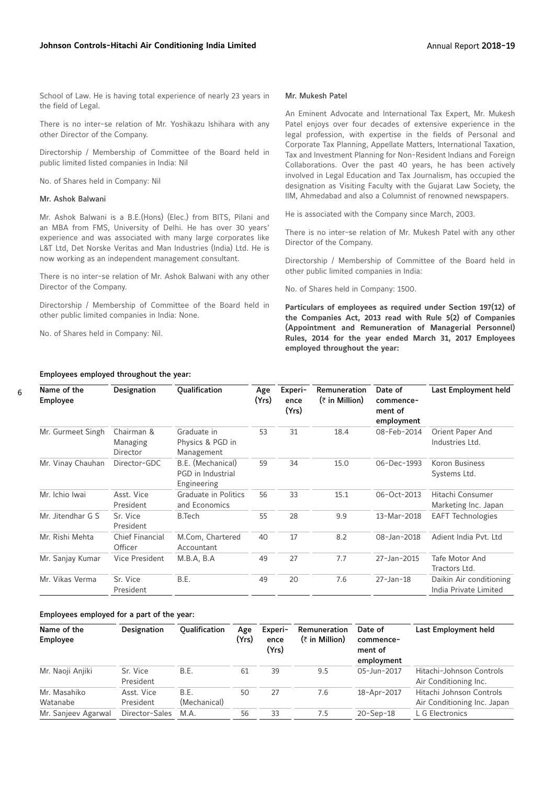School of Law. He is having total experience of nearly 23 years in the field of Legal.

There is no inter-se relation of Mr. Yoshikazu Ishihara with any other Director of the Company.

Directorship / Membership of Committee of the Board held in public limited listed companies in India: Nil

No. of Shares held in Company: Nil

#### Mr. Ashok Balwani

Mr. Ashok Balwani is a B.E.(Hons) (Elec.) from BITS, Pilani and an MBA from FMS, University of Delhi. He has over 30 years' experience and was associated with many large corporates like L&T Ltd, Det Norske Veritas and Man Industries (India) Ltd. He is now working as an independent management consultant.

There is no inter-se relation of Mr. Ashok Balwani with any other Director of the Company.

Directorship / Membership of Committee of the Board held in other public limited companies in India: None.

No. of Shares held in Company: Nil.

Employees employed throughout the year:

#### Mr. Mukesh Patel

An Eminent Advocate and International Tax Expert, Mr. Mukesh Patel enjoys over four decades of extensive experience in the legal profession, with expertise in the fields of Personal and Corporate Tax Planning, Appellate Matters, International Taxation, Tax and Investment Planning for Non-Resident Indians and Foreign Collaborations. Over the past 40 years, he has been actively involved in Legal Education and Tax Journalism, has occupied the designation as Visiting Faculty with the Gujarat Law Society, the IIM, Ahmedabad and also a Columnist of renowned newspapers.

He is associated with the Company since March, 2003.

There is no inter-se relation of Mr. Mukesh Patel with any other Director of the Company.

Directorship / Membership of Committee of the Board held in other public limited companies in India:

No. of Shares held in Company: 1500.

**Particulars of employees as required under Section 197(12) of the Companies Act, 2013 read with Rule 5(2) of Companies (Appointment and Remuneration of Managerial Personnel) Rules, 2014 for the year ended March 31, 2017 Employees employed throughout the year:**

| Name of the<br>Employee           | Designation                        | <b>Qualification</b>                                  | Age<br>(Yrs) | Experi-<br>ence<br>(Yrs) | Remuneration<br>$(\bar{z}$ in Million) | Date of<br>commence-<br>ment of<br>employment | Last Employment held                             |
|-----------------------------------|------------------------------------|-------------------------------------------------------|--------------|--------------------------|----------------------------------------|-----------------------------------------------|--------------------------------------------------|
| Mr. Gurmeet Singh                 | Chairman &<br>Managing<br>Director | Graduate in<br>Physics & PGD in<br>Management         | 53           | 31                       | 18.4                                   | 08-Feb-2014                                   | Orient Paper And<br>Industries Ltd.              |
| Mr. Vinay Chauhan<br>Director-GDC |                                    | B.E. (Mechanical)<br>PGD in Industrial<br>Engineering | 59           | 34                       | 15.0                                   | 06-Dec-1993                                   | <b>Koron Business</b><br>Systems Ltd.            |
| Mr. Ichio Iwai                    | Asst. Vice<br>President            | Graduate in Politics<br>and Economics                 | 56           | 33                       | 15.1                                   | 06-Oct-2013                                   | Hitachi Consumer<br>Marketing Inc. Japan         |
| Mr. Jitendhar G S                 | Sr. Vice<br>President              | B.Tech                                                | 55           | 28                       | 9.9                                    | 13-Mar-2018                                   | <b>EAFT</b> Technologies                         |
| Mr. Rishi Mehta                   | <b>Chief Financial</b><br>Officer  | M.Com, Chartered<br>Accountant                        | 40           | 17                       | 8.2                                    | 08-Jan-2018                                   | Adient India Pyt. Ltd.                           |
| Mr. Sanjay Kumar                  | Vice President                     | M.B.A, B.A                                            | 49           | 27                       | 7.7                                    | 27-Jan-2015                                   | Tafe Motor And<br>Tractors Ltd.                  |
| Mr. Vikas Verma                   | Sr. Vice<br>President              | B.E.                                                  | 49           | 20                       | 7.6                                    | $27 - Jan - 18$                               | Daikin Air conditioning<br>India Private Limited |

#### Employees employed for a part of the year:

| Name of the<br>Employee  | Designation             | <b>Oualification</b> | Age<br>(Yrs) | Experi-<br>ence<br>(Yrs) | <b>Remuneration</b><br>$(\bar{z}$ in Million) | Date of<br>commence-<br>ment of<br>employment | Last Employment held                                    |
|--------------------------|-------------------------|----------------------|--------------|--------------------------|-----------------------------------------------|-----------------------------------------------|---------------------------------------------------------|
| Mr. Naoji Anjiki         | Sr. Vice<br>President   | B.E.                 | 61           | 39                       | 9.5                                           | 05-Jun-2017                                   | Hitachi-Johnson Controls<br>Air Conditioning Inc.       |
| Mr. Masahiko<br>Watanabe | Asst. Vice<br>President | B.E.<br>(Mechanical) | 50           | 27                       | 7.6                                           | 18-Apr-2017                                   | Hitachi Johnson Controls<br>Air Conditioning Inc. Japan |
| Mr. Sanjeev Agarwal      | Director-Sales          | M.A.                 | 56           | 33                       | 7.5                                           | $20 - Sep-18$                                 | L G Electronics                                         |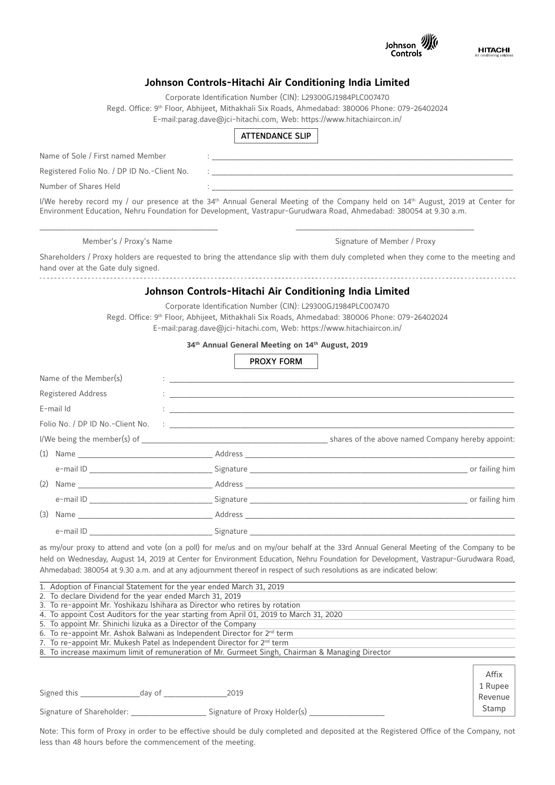

1 Rupee Revenue Stamp

# **Johnson Controls-Hitachi Air Conditioning India Limited**

Corporate Identification Number (CIN): L29300GJ1984PLC007470

Regd. Office: 9th Floor, Abhijeet, Mithakhali Six Roads, Ahmedabad: 380006 Phone: 079-26402024 E-mail:parag.dave@jci-hitachi.com, Web: https://www.hitachiaircon.in/

# ATTENDANCE SLIP

| Name of Sole / First named Member           |  |
|---------------------------------------------|--|
| Registered Folio No. / DP ID No.-Client No. |  |
| Number of Shares Held                       |  |
|                                             |  |

I/We hereby record my / our presence at the 34<sup>th</sup> Annual General Meeting of the Company held on 14<sup>th</sup> August, 2019 at Center for Environment Education, Nehru Foundation for Development, Vastrapur-Gurudwara Road, Ahmedabad: 380054 at 9.30 a.m.

\_\_\_\_\_\_\_\_\_\_\_\_\_\_\_\_\_\_\_\_\_\_\_\_\_\_\_\_\_\_\_\_\_\_\_\_\_\_\_\_\_\_\_\_\_ \_\_\_\_\_\_\_\_\_\_\_\_\_\_\_\_\_\_\_\_\_\_\_\_\_\_\_\_\_\_\_\_\_\_\_\_\_\_\_\_\_\_\_\_\_

Member's / Proxy's Name Signature of Member / Proxy

Shareholders / Proxy holders are requested to bring the attendance slip with them duly completed when they come to the meeting and hand over at the Gate duly signed. 

# **Johnson Controls-Hitachi Air Conditioning India Limited**

Corporate Identification Number (CIN): L29300GJ1984PLC007470 Regd. Office: 9th Floor, Abhijeet, Mithakhali Six Roads, Ahmedabad: 380006 Phone: 079-26402024 E-mail:parag.dave@jci-hitachi.com, Web: https://www.hitachiaircon.in/

**34th Annual General Meeting on 14th August, 2019**

# PROXY FORM

| Name of the Member(s)     |  |                                                                                                                                                                                                                                   |
|---------------------------|--|-----------------------------------------------------------------------------------------------------------------------------------------------------------------------------------------------------------------------------------|
| <b>Registered Address</b> |  | $\frac{1}{2}$ . The contract of the contract of the contract of the contract of the contract of the contract of the contract of the contract of the contract of the contract of the contract of the contract of the contract of t |
| E-mail Id                 |  |                                                                                                                                                                                                                                   |
|                           |  |                                                                                                                                                                                                                                   |
|                           |  |                                                                                                                                                                                                                                   |
|                           |  |                                                                                                                                                                                                                                   |
|                           |  | e-mail ID contract to the second state of the Signature Contract of the Signature Contract of the Signature Contract of the Signature Contract of the Signature Contract of the Signature Contract of the Signature Contract o    |
|                           |  |                                                                                                                                                                                                                                   |
|                           |  | or failing him                                                                                                                                                                                                                    |
|                           |  |                                                                                                                                                                                                                                   |
|                           |  |                                                                                                                                                                                                                                   |

as my/our proxy to attend and vote (on a poll) for me/us and on my/our behalf at the 33rd Annual General Meeting of the Company to be held on Wednesday, August 14, 2019 at Center for Environment Education, Nehru Foundation for Development, Vastrapur-Gurudwara Road, Ahmedabad: 380054 at 9.30 a.m. and at any adjournment thereof in respect of such resolutions as are indicated below:

| 1. Adoption of Financial Statement for the year ended March 31, 2019                            |
|-------------------------------------------------------------------------------------------------|
| 2. To declare Dividend for the year ended March 31, 2019                                        |
| 3. To re-appoint Mr. Yoshikazu Ishihara as Director who retires by rotation                     |
| 4. To appoint Cost Auditors for the year starting from April 01, 2019 to March 31, 2020         |
| 5. To appoint Mr. Shinichi lizuka as a Director of the Company                                  |
| 6. To re-appoint Mr. Ashok Balwani as Independent Director for $2^{nd}$ term                    |
| 7. To re-appoint Mr. Mukesh Patel as Independent Director for 2 <sup>nd</sup> term              |
| 8. To increase maximum limit of remuneration of Mr. Gurmeet Singh, Chairman & Managing Director |
|                                                                                                 |
|                                                                                                 |

Signed this \_\_\_\_\_\_\_\_\_\_\_\_\_\_\_day of \_\_\_\_\_\_\_\_\_\_\_\_\_\_\_\_2019

Signature of Shareholder: \_\_\_\_\_\_\_\_\_\_\_\_\_\_\_\_\_\_\_ Signature of Proxy Holder(s) \_\_\_\_\_\_\_\_\_\_\_\_\_\_\_\_\_\_\_

Note: This form of Proxy in order to be effective should be duly completed and deposited at the Registered Office of the Company, not less than 48 hours before the commencement of the meeting.